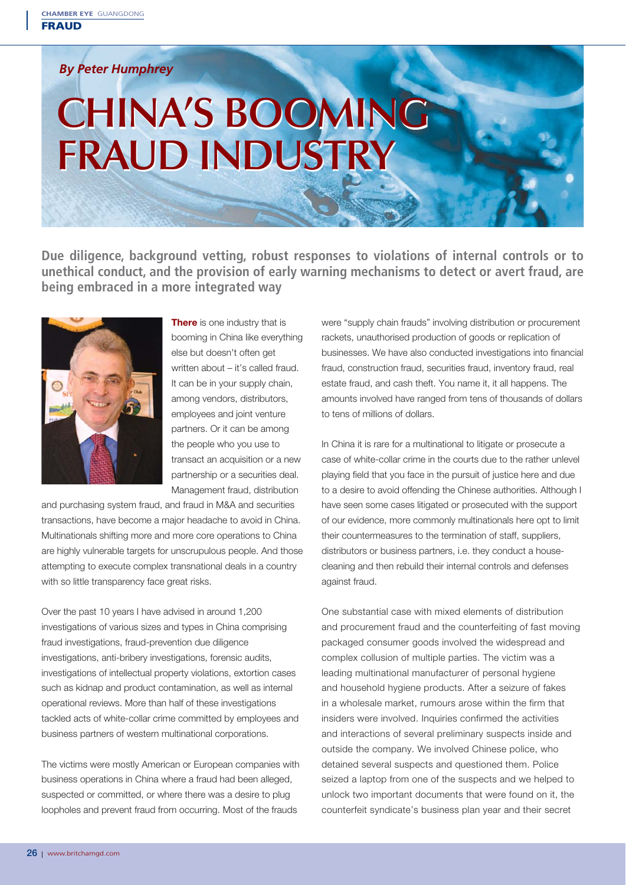*By Peter Humphrey*

## **CHINA'S BOOMING CHINA'S BOOMING FRAUD INDUSTRY FRAUD INDUSTRY**

**Due diligence, background vetting, robust responses to violations of internal controls or to unethical conduct, and the provision of early warning mechanisms to detect or avert fraud, are being embraced in a more integrated way**



**There** is one industry that is booming in China like everything else but doesn't often get written about – it's called fraud. It can be in your supply chain, among vendors, distributors, employees and joint venture partners. Or it can be among the people who you use to transact an acquisition or a new partnership or a securities deal. Management fraud, distribution

and purchasing system fraud, and fraud in M&A and securities transactions, have become a major headache to avoid in China. Multinationals shifting more and more core operations to China are highly vulnerable targets for unscrupulous people. And those attempting to execute complex transnational deals in a country with so little transparency face great risks.

Over the past 10 years I have advised in around 1,200 investigations of various sizes and types in China comprising fraud investigations, fraud-prevention due diligence investigations, anti-bribery investigations, forensic audits, investigations of intellectual property violations, extortion cases such as kidnap and product contamination, as well as internal operational reviews. More than half of these investigations tackled acts of white-collar crime committed by employees and business partners of western multinational corporations.

The victims were mostly American or European companies with business operations in China where a fraud had been alleged, suspected or committed, or where there was a desire to plug loopholes and prevent fraud from occurring. Most of the frauds

were "supply chain frauds" involving distribution or procurement rackets, unauthorised production of goods or replication of businesses. We have also conducted investigations into financial fraud, construction fraud, securities fraud, inventory fraud, real estate fraud, and cash theft. You name it, it all happens. The amounts involved have ranged from tens of thousands of dollars to tens of millions of dollars.

In China it is rare for a multinational to litigate or prosecute a case of white-collar crime in the courts due to the rather unlevel playing field that you face in the pursuit of justice here and due to a desire to avoid offending the Chinese authorities. Although I have seen some cases litigated or prosecuted with the support of our evidence, more commonly multinationals here opt to limit their countermeasures to the termination of staff, suppliers, distributors or business partners, i.e. they conduct a housecleaning and then rebuild their internal controls and defenses against fraud.

One substantial case with mixed elements of distribution and procurement fraud and the counterfeiting of fast moving packaged consumer goods involved the widespread and complex collusion of multiple parties. The victim was a leading multinational manufacturer of personal hygiene and household hygiene products. After a seizure of fakes in a wholesale market, rumours arose within the firm that insiders were involved. Inquiries confirmed the activities and interactions of several preliminary suspects inside and outside the company. We involved Chinese police, who detained several suspects and questioned them. Police seized a laptop from one of the suspects and we helped to unlock two important documents that were found on it, the counterfeit syndicate's business plan year and their secret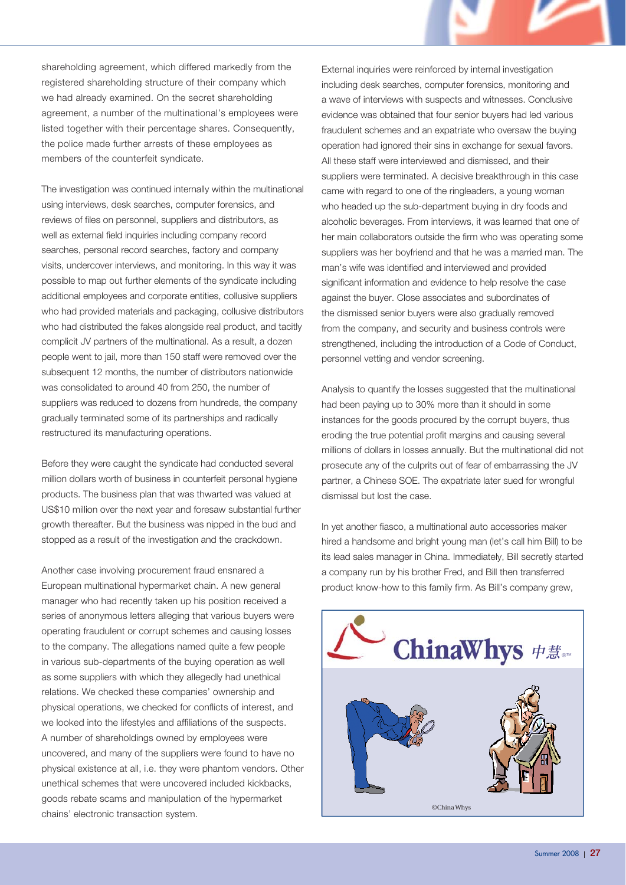

The investigation was continued internally within the multinational using interviews, desk searches, computer forensics, and reviews of files on personnel, suppliers and distributors, as well as external field inquiries including company record searches, personal record searches, factory and company visits, undercover interviews, and monitoring. In this way it was possible to map out further elements of the syndicate including additional employees and corporate entities, collusive suppliers who had provided materials and packaging, collusive distributors who had distributed the fakes alongside real product, and tacitly complicit JV partners of the multinational. As a result, a dozen people went to jail, more than 150 staff were removed over the subsequent 12 months, the number of distributors nationwide was consolidated to around 40 from 250, the number of suppliers was reduced to dozens from hundreds, the company gradually terminated some of its partnerships and radically restructured its manufacturing operations.

Before they were caught the syndicate had conducted several million dollars worth of business in counterfeit personal hygiene products. The business plan that was thwarted was valued at US\$10 million over the next year and foresaw substantial further growth thereafter. But the business was nipped in the bud and stopped as a result of the investigation and the crackdown.

Another case involving procurement fraud ensnared a European multinational hypermarket chain. A new general manager who had recently taken up his position received a series of anonymous letters alleging that various buyers were operating fraudulent or corrupt schemes and causing losses to the company. The allegations named quite a few people in various sub-departments of the buying operation as well as some suppliers with which they allegedly had unethical relations. We checked these companies' ownership and physical operations, we checked for conflicts of interest, and we looked into the lifestyles and affiliations of the suspects. A number of shareholdings owned by employees were uncovered, and many of the suppliers were found to have no physical existence at all, i.e. they were phantom vendors. Other unethical schemes that were uncovered included kickbacks, goods rebate scams and manipulation of the hypermarket chains' electronic transaction system.

External inquiries were reinforced by internal investigation including desk searches, computer forensics, monitoring and a wave of interviews with suspects and witnesses. Conclusive evidence was obtained that four senior buyers had led various fraudulent schemes and an expatriate who oversaw the buying operation had ignored their sins in exchange for sexual favors. All these staff were interviewed and dismissed, and their suppliers were terminated. A decisive breakthrough in this case came with regard to one of the ringleaders, a young woman who headed up the sub-department buying in dry foods and alcoholic beverages. From interviews, it was learned that one of her main collaborators outside the firm who was operating some suppliers was her boyfriend and that he was a married man. The man's wife was identified and interviewed and provided significant information and evidence to help resolve the case against the buyer. Close associates and subordinates of the dismissed senior buyers were also gradually removed from the company, and security and business controls were strengthened, including the introduction of a Code of Conduct, personnel vetting and vendor screening.

Analysis to quantify the losses suggested that the multinational had been paying up to 30% more than it should in some instances for the goods procured by the corrupt buyers, thus eroding the true potential profit margins and causing several millions of dollars in losses annually. But the multinational did not prosecute any of the culprits out of fear of embarrassing the JV partner, a Chinese SOE. The expatriate later sued for wrongful dismissal but lost the case.

In yet another fiasco, a multinational auto accessories maker hired a handsome and bright young man (let's call him Bill) to be its lead sales manager in China. Immediately, Bill secretly started a company run by his brother Fred, and Bill then transferred product know-how to this family firm. As Bill's company grew,

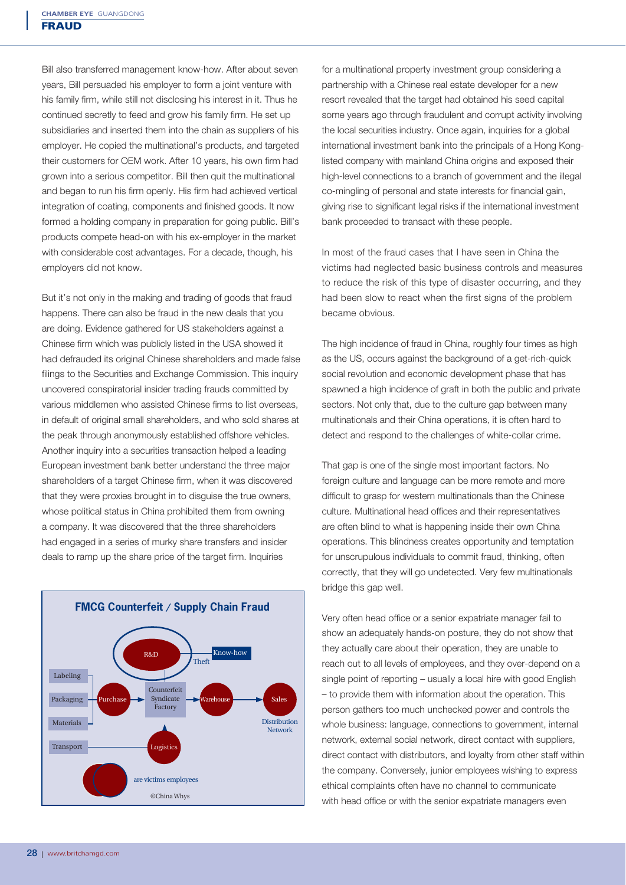Bill also transferred management know-how. After about seven years, Bill persuaded his employer to form a joint venture with his family firm, while still not disclosing his interest in it. Thus he continued secretly to feed and grow his family firm. He set up subsidiaries and inserted them into the chain as suppliers of his employer. He copied the multinational's products, and targeted their customers for OEM work. After 10 years, his own firm had grown into a serious competitor. Bill then quit the multinational and began to run his firm openly. His firm had achieved vertical integration of coating, components and finished goods. It now formed a holding company in preparation for going public. Bill's products compete head-on with his ex-employer in the market with considerable cost advantages. For a decade, though, his employers did not know.

But it's not only in the making and trading of goods that fraud happens. There can also be fraud in the new deals that you are doing. Evidence gathered for US stakeholders against a Chinese firm which was publicly listed in the USA showed it had defrauded its original Chinese shareholders and made false filings to the Securities and Exchange Commission. This inquiry uncovered conspiratorial insider trading frauds committed by various middlemen who assisted Chinese firms to list overseas, in default of original small shareholders, and who sold shares at the peak through anonymously established offshore vehicles. Another inquiry into a securities transaction helped a leading European investment bank better understand the three major shareholders of a target Chinese firm, when it was discovered that they were proxies brought in to disguise the true owners, whose political status in China prohibited them from owning a company. It was discovered that the three shareholders had engaged in a series of murky share transfers and insider deals to ramp up the share price of the target firm. Inquiries



for a multinational property investment group considering a partnership with a Chinese real estate developer for a new resort revealed that the target had obtained his seed capital some years ago through fraudulent and corrupt activity involving the local securities industry. Once again, inquiries for a global international investment bank into the principals of a Hong Konglisted company with mainland China origins and exposed their high-level connections to a branch of government and the illegal co-mingling of personal and state interests for financial gain, giving rise to significant legal risks if the international investment bank proceeded to transact with these people.

In most of the fraud cases that I have seen in China the victims had neglected basic business controls and measures to reduce the risk of this type of disaster occurring, and they had been slow to react when the first signs of the problem became obvious.

The high incidence of fraud in China, roughly four times as high as the US, occurs against the background of a get-rich-quick social revolution and economic development phase that has spawned a high incidence of graft in both the public and private sectors. Not only that, due to the culture gap between many multinationals and their China operations, it is often hard to detect and respond to the challenges of white-collar crime.

That gap is one of the single most important factors. No foreign culture and language can be more remote and more difficult to grasp for western multinationals than the Chinese culture. Multinational head offices and their representatives are often blind to what is happening inside their own China operations. This blindness creates opportunity and temptation for unscrupulous individuals to commit fraud, thinking, often correctly, that they will go undetected. Very few multinationals bridge this gap well.

Very often head office or a senior expatriate manager fail to show an adequately hands-on posture, they do not show that they actually care about their operation, they are unable to reach out to all levels of employees, and they over-depend on a single point of reporting – usually a local hire with good English – to provide them with information about the operation. This person gathers too much unchecked power and controls the whole business: language, connections to government, internal network, external social network, direct contact with suppliers, direct contact with distributors, and loyalty from other staff within the company. Conversely, junior employees wishing to express ethical complaints often have no channel to communicate with head office or with the senior expatriate managers even